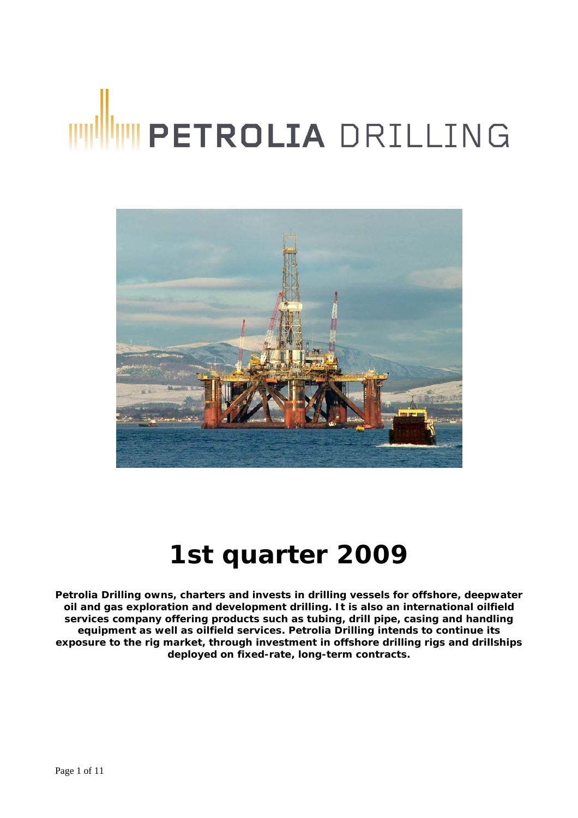# WINNIE PETROLIA DRILLING



# **1st quarter 2009**

**Petrolia Drilling owns, charters and invests in drilling vessels for offshore, deepwater oil and gas exploration and development drilling. It is also an international oilfield services company offering products such as tubing, drill pipe, casing and handling equipment as well as oilfield services. Petrolia Drilling intends to continue its exposure to the rig market, through investment in offshore drilling rigs and drillships deployed on fixed-rate, long-term contracts.**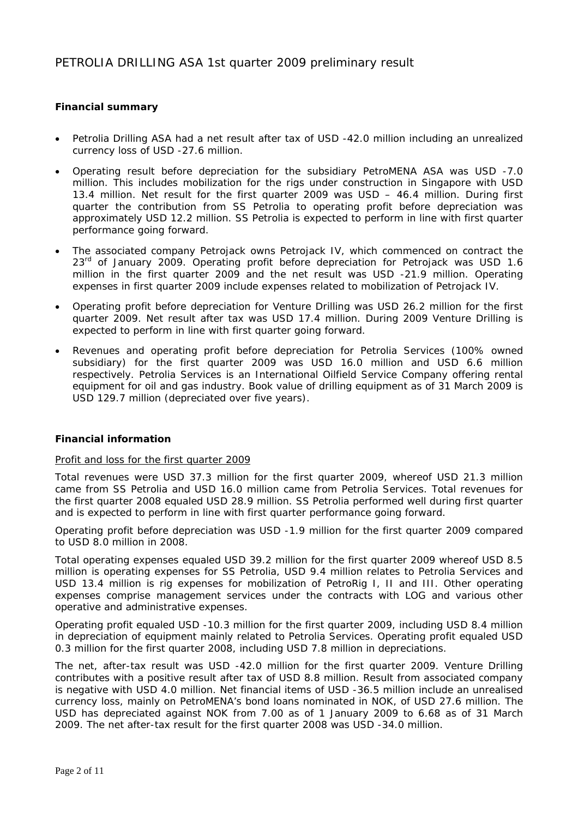### **Financial summary**

- Petrolia Drilling ASA had a net result after tax of USD -42.0 million including an unrealized currency loss of USD -27.6 million.
- Operating result before depreciation for the subsidiary PetroMENA ASA was USD -7.0 million. This includes mobilization for the rigs under construction in Singapore with USD 13.4 million. Net result for the first quarter 2009 was USD – 46.4 million. During first quarter the contribution from SS Petrolia to operating profit before depreciation was approximately USD 12.2 million. SS Petrolia is expected to perform in line with first quarter performance going forward.
- The associated company Petrojack owns Petrojack IV, which commenced on contract the 23<sup>rd</sup> of January 2009. Operating profit before depreciation for Petrojack was USD 1.6 million in the first quarter 2009 and the net result was USD -21.9 million. Operating expenses in first quarter 2009 include expenses related to mobilization of Petrojack IV.
- Operating profit before depreciation for Venture Drilling was USD 26.2 million for the first quarter 2009. Net result after tax was USD 17.4 million. During 2009 Venture Drilling is expected to perform in line with first quarter going forward.
- Revenues and operating profit before depreciation for Petrolia Services (100% owned subsidiary) for the first quarter 2009 was USD 16.0 million and USD 6.6 million respectively. Petrolia Services is an International Oilfield Service Company offering rental equipment for oil and gas industry. Book value of drilling equipment as of 31 March 2009 is USD 129.7 million (depreciated over five years).

### **Financial information**

### Profit and loss for the first quarter 2009

Total revenues were USD 37.3 million for the first quarter 2009, whereof USD 21.3 million came from SS Petrolia and USD 16.0 million came from Petrolia Services. Total revenues for the first quarter 2008 equaled USD 28.9 million. SS Petrolia performed well during first quarter and is expected to perform in line with first quarter performance going forward.

Operating profit before depreciation was USD -1.9 million for the first quarter 2009 compared to USD 8.0 million in 2008.

Total operating expenses equaled USD 39.2 million for the first quarter 2009 whereof USD 8.5 million is operating expenses for SS Petrolia, USD 9.4 million relates to Petrolia Services and USD 13.4 million is rig expenses for mobilization of PetroRig I, II and III. Other operating expenses comprise management services under the contracts with LOG and various other operative and administrative expenses.

Operating profit equaled USD -10.3 million for the first quarter 2009, including USD 8.4 million in depreciation of equipment mainly related to Petrolia Services. Operating profit equaled USD 0.3 million for the first quarter 2008, including USD 7.8 million in depreciations.

The net, after-tax result was USD -42.0 million for the first quarter 2009. Venture Drilling contributes with a positive result after tax of USD 8.8 million. Result from associated company is negative with USD 4.0 million. Net financial items of USD -36.5 million include an unrealised currency loss, mainly on PetroMENA's bond loans nominated in NOK, of USD 27.6 million. The USD has depreciated against NOK from 7.00 as of 1 January 2009 to 6.68 as of 31 March 2009. The net after-tax result for the first quarter 2008 was USD -34.0 million.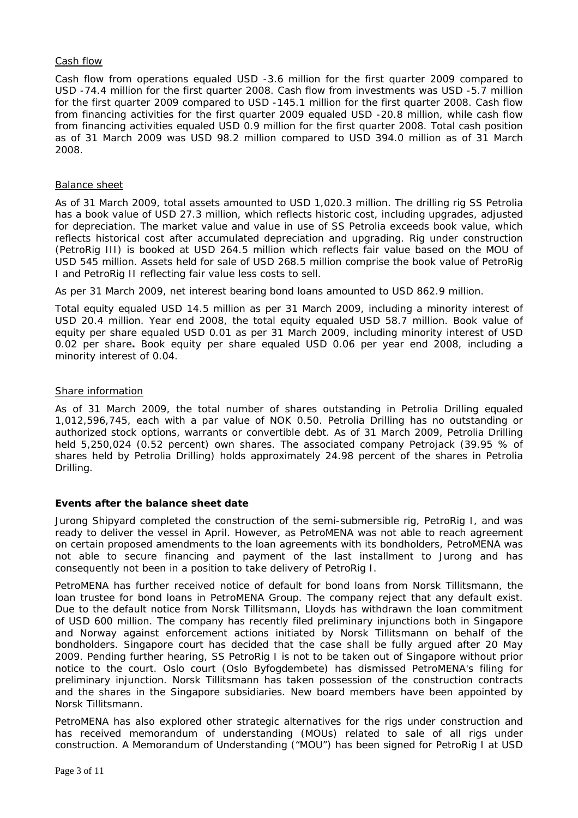### Cash flow

Cash flow from operations equaled USD -3.6 million for the first quarter 2009 compared to USD -74.4 million for the first quarter 2008. Cash flow from investments was USD -5.7 million for the first quarter 2009 compared to USD -145.1 million for the first quarter 2008. Cash flow from financing activities for the first quarter 2009 equaled USD -20.8 million, while cash flow from financing activities equaled USD 0.9 million for the first quarter 2008. Total cash position as of 31 March 2009 was USD 98.2 million compared to USD 394.0 million as of 31 March 2008.

### Balance sheet

As of 31 March 2009, total assets amounted to USD 1,020.3 million. The drilling rig SS Petrolia has a book value of USD 27.3 million, which reflects historic cost, including upgrades, adjusted for depreciation. The market value and value in use of SS Petrolia exceeds book value, which reflects historical cost after accumulated depreciation and upgrading. Rig under construction (PetroRig III) is booked at USD 264.5 million which reflects fair value based on the MOU of USD 545 million. Assets held for sale of USD 268.5 million comprise the book value of PetroRig I and PetroRig II reflecting fair value less costs to sell.

As per 31 March 2009, net interest bearing bond loans amounted to USD 862.9 million.

Total equity equaled USD 14.5 million as per 31 March 2009, including a minority interest of USD 20.4 million. Year end 2008, the total equity equaled USD 58.7 million. Book value of equity per share equaled USD 0.01 as per 31 March 2009, including minority interest of USD 0.02 per share**.** Book equity per share equaled USD 0.06 per year end 2008, including a minority interest of 0.04.

### Share information

As of 31 March 2009, the total number of shares outstanding in Petrolia Drilling equaled 1,012,596,745, each with a par value of NOK 0.50. Petrolia Drilling has no outstanding or authorized stock options, warrants or convertible debt. As of 31 March 2009, Petrolia Drilling held 5,250,024 (0.52 percent) own shares. The associated company Petrojack (39.95 % of shares held by Petrolia Drilling) holds approximately 24.98 percent of the shares in Petrolia Drilling.

### **Events after the balance sheet date**

Jurong Shipyard completed the construction of the semi-submersible rig, PetroRig I, and was ready to deliver the vessel in April. However, as PetroMENA was not able to reach agreement on certain proposed amendments to the loan agreements with its bondholders, PetroMENA was not able to secure financing and payment of the last installment to Jurong and has consequently not been in a position to take delivery of PetroRig I.

PetroMENA has further received notice of default for bond loans from Norsk Tillitsmann, the loan trustee for bond loans in PetroMENA Group. The company reject that any default exist. Due to the default notice from Norsk Tillitsmann, Lloyds has withdrawn the loan commitment of USD 600 million. The company has recently filed preliminary injunctions both in Singapore and Norway against enforcement actions initiated by Norsk Tillitsmann on behalf of the bondholders. Singapore court has decided that the case shall be fully argued after 20 May 2009. Pending further hearing, SS PetroRig I is not to be taken out of Singapore without prior notice to the court. Oslo court (Oslo Byfogdembete) has dismissed PetroMENA's filing for preliminary injunction. Norsk Tillitsmann has taken possession of the construction contracts and the shares in the Singapore subsidiaries. New board members have been appointed by Norsk Tillitsmann.

PetroMENA has also explored other strategic alternatives for the rigs under construction and has received memorandum of understanding (MOUs) related to sale of all rigs under construction. A Memorandum of Understanding ("MOU") has been signed for PetroRig I at USD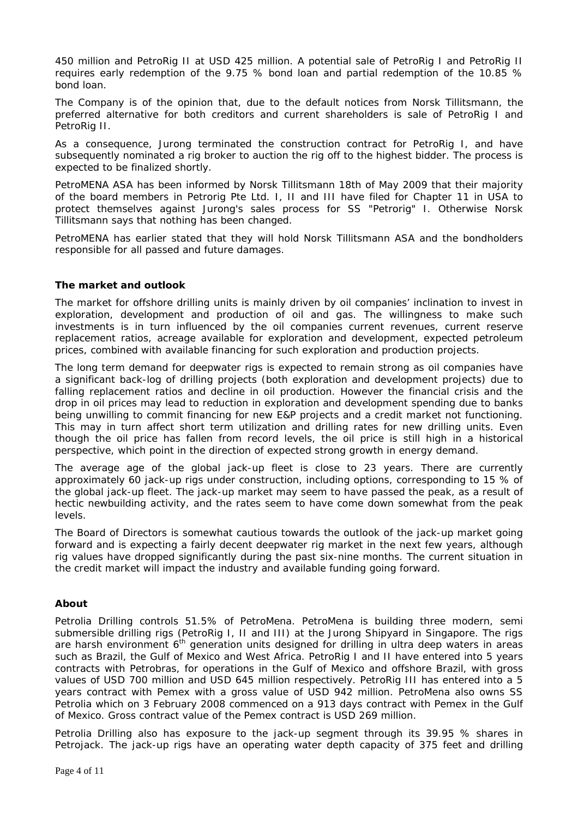450 million and PetroRig II at USD 425 million. A potential sale of PetroRig I and PetroRig II requires early redemption of the 9.75 % bond loan and partial redemption of the 10.85 % bond loan.

The Company is of the opinion that, due to the default notices from Norsk Tillitsmann, the preferred alternative for both creditors and current shareholders is sale of PetroRig I and PetroRig II.

As a consequence, Jurong terminated the construction contract for PetroRig I, and have subsequently nominated a rig broker to auction the rig off to the highest bidder. The process is expected to be finalized shortly.

PetroMENA ASA has been informed by Norsk Tillitsmann 18th of May 2009 that their majority of the board members in Petrorig Pte Ltd. I, II and III have filed for Chapter 11 in USA to protect themselves against Jurong's sales process for SS "Petrorig" I. Otherwise Norsk Tillitsmann says that nothing has been changed.

PetroMENA has earlier stated that they will hold Norsk Tillitsmann ASA and the bondholders responsible for all passed and future damages.

### **The market and outlook**

The market for offshore drilling units is mainly driven by oil companies' inclination to invest in exploration, development and production of oil and gas. The willingness to make such investments is in turn influenced by the oil companies current revenues, current reserve replacement ratios, acreage available for exploration and development, expected petroleum prices, combined with available financing for such exploration and production projects.

The long term demand for deepwater rigs is expected to remain strong as oil companies have a significant back-log of drilling projects (both exploration and development projects) due to falling replacement ratios and decline in oil production. However the financial crisis and the drop in oil prices may lead to reduction in exploration and development spending due to banks being unwilling to commit financing for new E&P projects and a credit market not functioning. This may in turn affect short term utilization and drilling rates for new drilling units. Even though the oil price has fallen from record levels, the oil price is still high in a historical perspective, which point in the direction of expected strong growth in energy demand.

The average age of the global jack-up fleet is close to 23 years. There are currently approximately 60 jack-up rigs under construction, including options, corresponding to 15 % of the global jack-up fleet. The jack-up market may seem to have passed the peak, as a result of hectic newbuilding activity, and the rates seem to have come down somewhat from the peak levels.

The Board of Directors is somewhat cautious towards the outlook of the jack-up market going forward and is expecting a fairly decent deepwater rig market in the next few years, although rig values have dropped significantly during the past six-nine months. The current situation in the credit market will impact the industry and available funding going forward.

### **About**

Petrolia Drilling controls 51.5% of PetroMena. PetroMena is building three modern, semi submersible drilling rigs (PetroRig I, II and III) at the Jurong Shipyard in Singapore. The rigs are harsh environment  $6<sup>th</sup>$  generation units designed for drilling in ultra deep waters in areas such as Brazil, the Gulf of Mexico and West Africa. PetroRig I and II have entered into 5 years contracts with Petrobras, for operations in the Gulf of Mexico and offshore Brazil, with gross values of USD 700 million and USD 645 million respectively. PetroRig III has entered into a 5 years contract with Pemex with a gross value of USD 942 million. PetroMena also owns SS Petrolia which on 3 February 2008 commenced on a 913 days contract with Pemex in the Gulf of Mexico. Gross contract value of the Pemex contract is USD 269 million.

Petrolia Drilling also has exposure to the jack-up segment through its 39.95 % shares in Petrojack. The jack-up rigs have an operating water depth capacity of 375 feet and drilling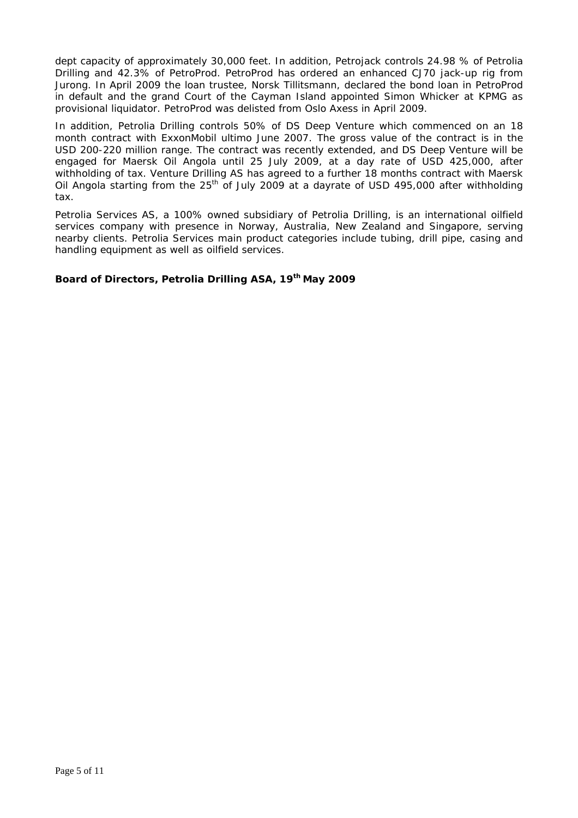dept capacity of approximately 30,000 feet. In addition, Petrojack controls 24.98 % of Petrolia Drilling and 42.3% of PetroProd. PetroProd has ordered an enhanced CJ70 jack-up rig from Jurong. In April 2009 the loan trustee, Norsk Tillitsmann, declared the bond loan in PetroProd in default and the grand Court of the Cayman Island appointed Simon Whicker at KPMG as provisional liquidator. PetroProd was delisted from Oslo Axess in April 2009.

In addition, Petrolia Drilling controls 50% of DS Deep Venture which commenced on an 18 month contract with ExxonMobil ultimo June 2007. The gross value of the contract is in the USD 200-220 million range. The contract was recently extended, and DS Deep Venture will be engaged for Maersk Oil Angola until 25 July 2009, at a day rate of USD 425,000, after withholding of tax. Venture Drilling AS has agreed to a further 18 months contract with Maersk Oil Angola starting from the 25<sup>th</sup> of July 2009 at a dayrate of USD 495,000 after withholding tax.

Petrolia Services AS, a 100% owned subsidiary of Petrolia Drilling, is an international oilfield services company with presence in Norway, Australia, New Zealand and Singapore, serving nearby clients. Petrolia Services main product categories include tubing, drill pipe, casing and handling equipment as well as oilfield services.

### **Board of Directors, Petrolia Drilling ASA, 19th May 2009**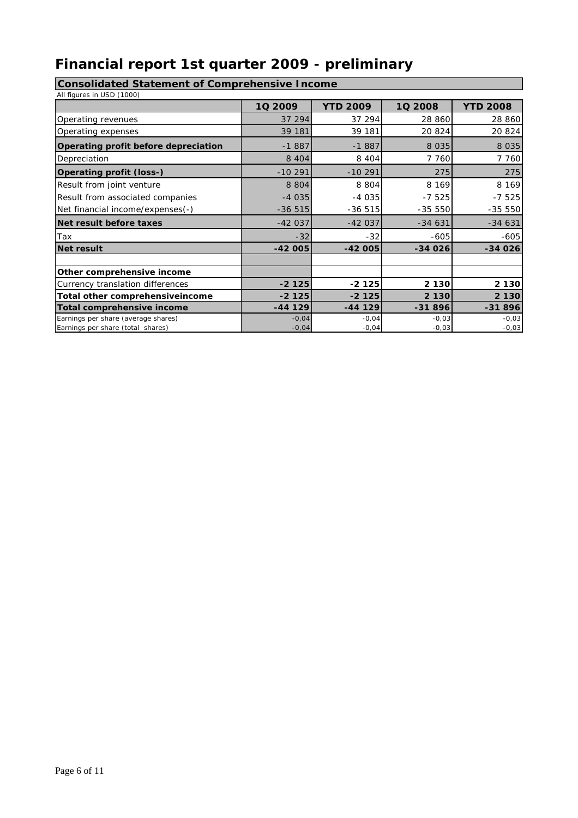# **Financial report 1st quarter 2009 - preliminary**

# **Consolidated Statement of Comprehensive Income**

| All figures in USD (1000)            |           |                 |          |                 |
|--------------------------------------|-----------|-----------------|----------|-----------------|
|                                      | 1Q 2009   | <b>YTD 2009</b> | 10 2008  | <b>YTD 2008</b> |
| Operating revenues                   | 37 294    | 37 294          | 28 860   | 28 860          |
| Operating expenses                   | 39 181    | 39 181          | 20824    | 20 824          |
| Operating profit before depreciation | $-1887$   | $-1887$         | 8 0 3 5  | 8 0 3 5         |
| Depreciation                         | 8 4 0 4   | 8 4 0 4         | 7 760    | 7 760           |
| Operating profit (loss-)             | $-10291$  | $-10291$        | 275      | 275             |
| Result from joint venture            | 8 8 0 4   | 8 8 0 4         | 8 1 6 9  | 8 1 6 9         |
| Result from associated companies     | $-4035$   | $-4035$         | $-7525$  | $-7525$         |
| Net financial income/expenses(-)     | $-36515$  | $-36515$        | $-35550$ | $-35550$        |
| Net result before taxes              | $-42037$  | $-42037$        | $-34631$ | $-34631$        |
| Tax                                  | $-32$     | $-32$           | $-605$   | $-605$          |
| <b>Net result</b>                    | $-42005$  | $-42005$        | $-34026$ | $-34026$        |
|                                      |           |                 |          |                 |
| Other comprehensive income           |           |                 |          |                 |
| Currency translation differences     | $-2125$   | $-2125$         | 2 1 3 0  | 2 1 3 0         |
| Total other comprehensive income     | $-2125$   | $-2125$         | 2 1 3 0  | 2 1 3 0         |
| Total comprehensive income           | $-44$ 129 | $-44$ 129       | $-31896$ | $-31896$        |
| Earnings per share (average shares)  | $-0,04$   | $-0.04$         | $-0,03$  | $-0,03$         |
| Earnings per share (total shares)    | $-0,04$   | $-0,04$         | $-0,03$  | $-0,03$         |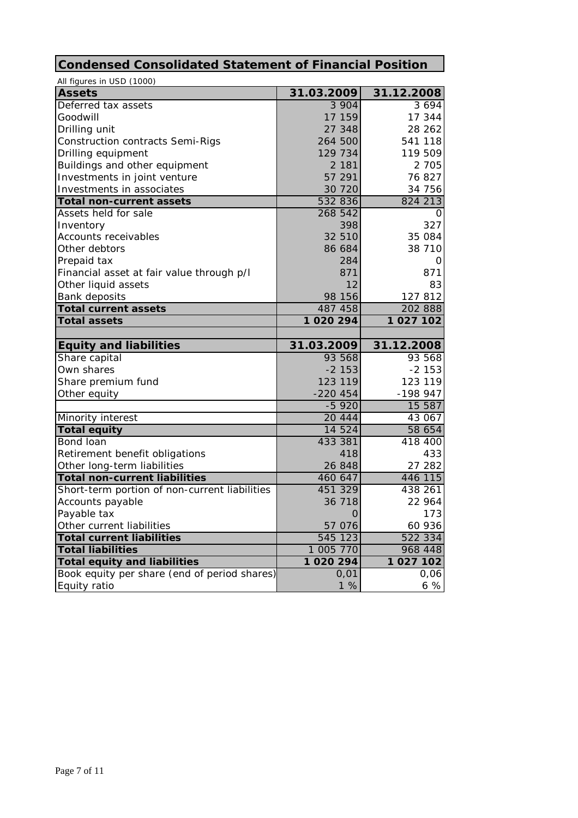# **Condensed Consolidated Statement of Financial Position**

| All figures in USD (1000)                                    |               |            |
|--------------------------------------------------------------|---------------|------------|
| <b>Assets</b>                                                | 31.03.2009    | 31.12.2008 |
| Deferred tax assets                                          | 3 904         | 3694       |
| Goodwill                                                     | 17 159        | 17 344     |
| Drilling unit                                                | 27 348        | 28 26 2    |
| <b>Construction contracts Semi-Rigs</b>                      | 264 500       | 541 118    |
| Drilling equipment                                           | 129 734       | 119 509    |
| Buildings and other equipment                                | 2 1 8 1       | 2 7 0 5    |
| Investments in joint venture                                 | 57 291        | 76 827     |
| Investments in associates                                    | 30 720        | 34 756     |
| <b>Total non-current assets</b>                              | 532 836       | 824 213    |
| Assets held for sale                                         | 268 542       | O          |
| Inventory                                                    | 398           | 327        |
| <b>Accounts receivables</b>                                  | 32 510        | 35 084     |
| Other debtors                                                | 86 684        | 38 710     |
| Prepaid tax                                                  | 284           | Ő          |
| Financial asset at fair value through p/l                    | 871           | 871        |
| Other liquid assets                                          | 12            | 83         |
| <b>Bank deposits</b>                                         | 98 156        | 127 812    |
| <b>Total current assets</b>                                  | 487 458       | 202 888    |
| <b>Total assets</b>                                          | 1 0 2 0 2 9 4 | 1 027 102  |
|                                                              |               |            |
|                                                              |               |            |
| <b>Equity and liabilities</b>                                | 31.03.2009    | 31.12.2008 |
| Share capital                                                | 93 568        | 93 568     |
| Own shares                                                   | $-2153$       | $-2153$    |
| Share premium fund                                           | 123 119       | 123 119    |
| Other equity                                                 | $-220454$     | -198 947   |
|                                                              | $-5920$       | 15 587     |
| Minority interest                                            | 20 444        | 43 067     |
| <b>Total equity</b>                                          | 14 524        | 58 654     |
| Bond loan                                                    | 433 381       | 418 400    |
| Retirement benefit obligations                               | 418           | 433        |
| Other long-term liabilities                                  | 26 848        | 27 282     |
| <b>Total non-current liabilities</b>                         | 460 647       | 446 115    |
| Short-term portion of non-current liabilities                | 451 329       | 438 261    |
| Accounts payable                                             | 36 718        | 22 964     |
| Payable tax                                                  | $\mathbf 0$   | 173        |
| Other current liabilities                                    | 57 076        | 60 936     |
| <b>Total current liabilities</b>                             | 545 123       | 522 334    |
| <b>Total liabilities</b>                                     | 1 005 770     | 968 448    |
| <b>Total equity and liabilities</b>                          | 1 020 294     | 1 027 102  |
| Book equity per share (end of period shares)<br>Equity ratio | 0,01<br>1%    | 0,06<br>6% |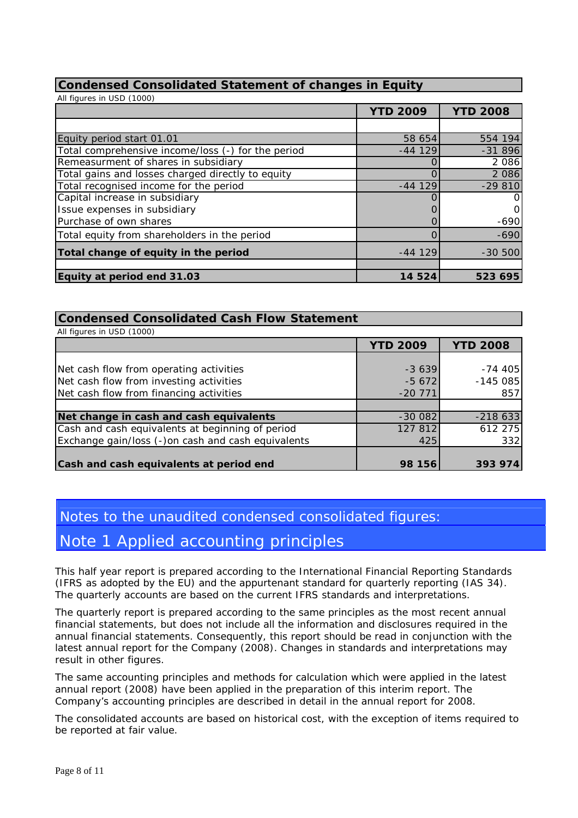## **Condensed Consolidated Statement of changes in Equity**

| All figures in USD (1000)                          |                 |                 |
|----------------------------------------------------|-----------------|-----------------|
|                                                    | <b>YTD 2009</b> | <b>YTD 2008</b> |
|                                                    |                 |                 |
| Equity period start 01.01                          | 58 654          | 554 194         |
| Total comprehensive income/loss (-) for the period | $-44$ 129       | $-31896$        |
| Remeasurment of shares in subsidiary               |                 | 2 0 8 6         |
| Total gains and losses charged directly to equity  |                 | 2 0 8 6         |
| Total recognised income for the period             | $-44$ 129       | $-29810$        |
| Capital increase in subsidiary                     |                 | O               |
| Issue expenses in subsidiary                       |                 | O               |
| Purchase of own shares                             |                 | $-690$          |
| Total equity from shareholders in the period       |                 | $-690$          |
| Total change of equity in the period               | $-44129$        | $-30500$        |
| Equity at period end 31.03                         | 14 524          | 523 695         |

### **Condensed Consolidated Cash Flow Statement**

| All figures in USD (1000)                          |                 |                 |
|----------------------------------------------------|-----------------|-----------------|
|                                                    | <b>YTD 2009</b> | <b>YTD 2008</b> |
|                                                    |                 |                 |
| Net cash flow from operating activities            | $-3639$         | $-74405$        |
| Net cash flow from investing activities            | $-5672$         | $-145085$       |
| Net cash flow from financing activities            | $-20$ 771       | 857             |
|                                                    |                 |                 |
| Net change in cash and cash equivalents            | $-300082$       | $-218633$       |
| Cash and cash equivalents at beginning of period   | 127 812         | 612 275         |
| Exchange gain/loss (-)on cash and cash equivalents | 425             | 332             |
|                                                    |                 |                 |
| Cash and cash equivalents at period end            | 98 156          | 393 974         |

# Notes to the unaudited condensed consolidated figures:

# Note 1 Applied accounting principles

This half year report is prepared according to the International Financial Reporting Standards (IFRS as adopted by the EU) and the appurtenant standard for quarterly reporting (IAS 34). The quarterly accounts are based on the current IFRS standards and interpretations.

The quarterly report is prepared according to the same principles as the most recent annual financial statements, but does not include all the information and disclosures required in the annual financial statements. Consequently, this report should be read in conjunction with the latest annual report for the Company (2008). Changes in standards and interpretations may result in other figures.

The same accounting principles and methods for calculation which were applied in the latest annual report (2008) have been applied in the preparation of this interim report. The Company's accounting principles are described in detail in the annual report for 2008.

The consolidated accounts are based on historical cost, with the exception of items required to be reported at fair value.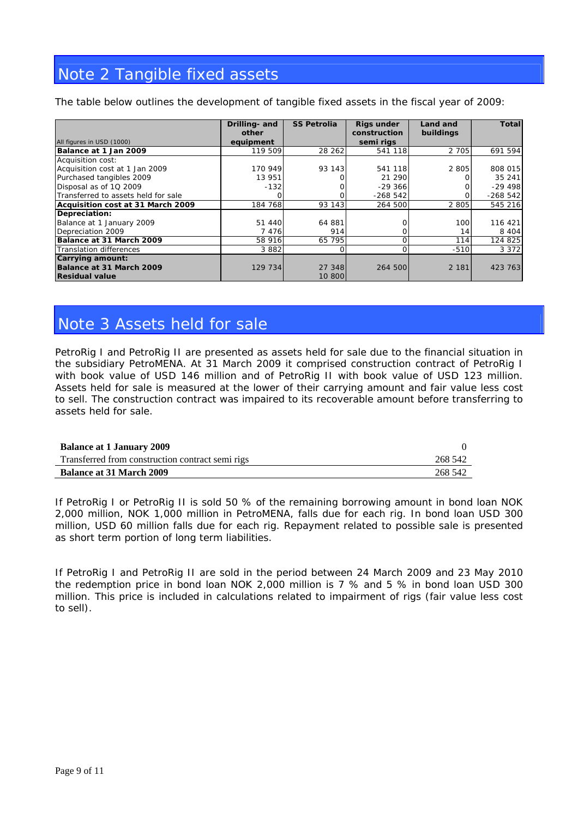# Note 2 Tangible fixed assets

The table below outlines the development of tangible fixed assets in the fiscal year of 2009:

|                                     | Drilling- and<br>other | <b>SS Petrolia</b> | Rigs under<br>construction | Land and<br>buildings | Total     |
|-------------------------------------|------------------------|--------------------|----------------------------|-----------------------|-----------|
| All figures in USD (1000)           | equipment              |                    | semi rigs                  |                       |           |
| Balance at 1 Jan 2009               | 119 509                | 28 26 2            | 541 118                    | 2 7 0 5               | 691 594   |
| Acquisition cost:                   |                        |                    |                            |                       |           |
| Acquisition cost at 1 Jan 2009      | 170 949                | 93 143             | 541 118                    | 2 8 0 5               | 808 015   |
| Purchased tangibles 2009            | 13 951                 |                    | 21 290                     |                       | 35 241    |
| Disposal as of 1Q 2009              | $-132$                 |                    | $-29366$                   |                       | $-29498$  |
| Transferred to assets held for sale |                        |                    | $-268542$                  |                       | $-268542$ |
| Acquisition cost at 31 March 2009   | 184 768                | 93 143             | 264 500                    | 2 8 0 5               | 545 216   |
| Depreciation:                       |                        |                    |                            |                       |           |
| Balance at 1 January 2009           | 51 440                 | 64 881             |                            | 100                   | 116 421   |
| Depreciation 2009                   | 7 4 7 6                | 914                | Οl                         | 14                    | 8 4 0 4   |
| Balance at 31 March 2009            | 58 916                 | 65 795             | O                          | 114                   | 124 825   |
| Translation differences             | 3882                   |                    |                            | $-510$                | 3 3 7 2   |
| <b>Carrying amount:</b>             |                        |                    |                            |                       |           |
| Balance at 31 March 2009            | 129 734                | 27 348             | 264 500                    | 2 1 8 1               | 423 763   |
| <b>Residual value</b>               |                        | 10 800             |                            |                       |           |

# Note 3 Assets held for sale

PetroRig I and PetroRig II are presented as assets held for sale due to the financial situation in the subsidiary PetroMENA. At 31 March 2009 it comprised construction contract of PetroRig I with book value of USD 146 million and of PetroRig II with book value of USD 123 million. Assets held for sale is measured at the lower of their carrying amount and fair value less cost to sell. The construction contract was impaired to its recoverable amount before transferring to assets held for sale.

| <b>Balance at 1 January 2009</b>                 |         |
|--------------------------------------------------|---------|
| Transferred from construction contract semi rigs | 268 542 |
| <b>Balance at 31 March 2009</b>                  | 268 542 |

If PetroRig I or PetroRig II is sold 50 % of the remaining borrowing amount in bond loan NOK 2,000 million, NOK 1,000 million in PetroMENA, falls due for each rig. In bond loan USD 300 million, USD 60 million falls due for each rig. Repayment related to possible sale is presented as short term portion of long term liabilities.

If PetroRig I and PetroRig II are sold in the period between 24 March 2009 and 23 May 2010 the redemption price in bond loan NOK 2,000 million is 7 % and 5 % in bond loan USD 300 million. This price is included in calculations related to impairment of rigs (fair value less cost to sell).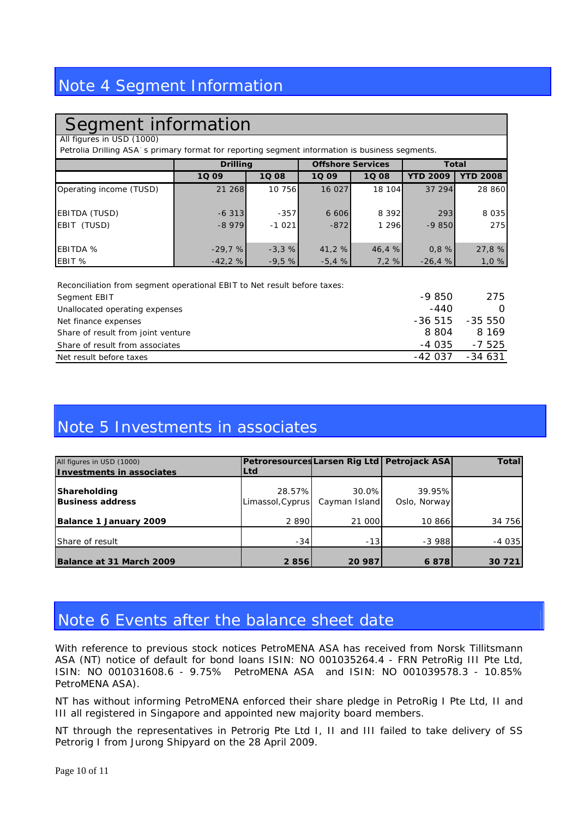# Note 4 Segment Information

# Segment information

All figures in USD (1000)

Petrolia Drilling ASA`s primary format for reporting segment information is business segments.

|                         | <b>Drilling</b> |         | <b>Offshore Services</b> |           | <b>Total</b>    |                 |
|-------------------------|-----------------|---------|--------------------------|-----------|-----------------|-----------------|
|                         | 1Q 09           | 1Q 08   | 1Q 09                    | 1Q 08     | <b>YTD 2009</b> | <b>YTD 2008</b> |
| Operating income (TUSD) | 21 268          | 10 756  | 16 027                   | 18 104    | 37 294          | 28 860          |
| EBITDA (TUSD)           | $-6313$         | $-357$  | 6 6 0 6                  | 8 3 9 2 1 | 293             | 8 0 3 5         |
| EBIT (TUSD)             | $-8979$         | $-1021$ | $-872$                   | 1 2 9 6   | $-9850$         | 275             |
| <b>EBITDA</b> %         | $-29.7%$        | $-3,3%$ | 41,2 %                   | 46,4%     | 0,8%            | 27,8 %          |
| EBIT %                  | $-42,2%$        | $-9,5%$ | $-5.4%$                  | 7,2%      | $-26,4%$        | 1,0%            |

Reconciliation from segment operational EBIT to Net result before taxes: Segment EBIT **275** Unallocated operating expenses  $\overline{0}$ Net finance expenses and the set of the set of the set of the set of the set of the set of the set of the set of the set of the set of the set of the set of the set of the set of the set of the set of the set of the set of Share of result from joint venture **8 804** 8 169 Share of result from associates  $-4035 -7525$ Net result before taxes  $-42037 -34631$ 

# Note 5 Investments in associates

| All figures in USD (1000)               | Petroresources Larsen Rig Ltd   Petrojack ASA |                        |                        | Total   |
|-----------------------------------------|-----------------------------------------------|------------------------|------------------------|---------|
| Investments in associates               | Ltd                                           |                        |                        |         |
| Shareholding<br><b>Business address</b> | 28.57%<br>Limassol, Cyprus                    | 30.0%<br>Cayman Island | 39.95%<br>Oslo, Norway |         |
| Balance 1 January 2009                  | 2 8 9 0 1                                     | 21 000                 | 10 866                 | 34 756  |
| Share of result                         | $-34$                                         | $-13$                  | $-3988$                | $-4035$ |
| Balance at 31 March 2009                | 2856                                          | 20 987                 | 6878                   | 30 7 21 |

# Note 6 Events after the balance sheet date

With reference to previous stock notices PetroMENA ASA has received from Norsk Tillitsmann ASA (NT) notice of default for bond loans ISIN: NO 001035264.4 - FRN PetroRig III Pte Ltd, ISIN: NO 001031608.6 - 9.75% PetroMENA ASA and ISIN: NO 001039578.3 - 10.85% PetroMENA ASA).

NT has without informing PetroMENA enforced their share pledge in PetroRig I Pte Ltd, II and III all registered in Singapore and appointed new majority board members.

NT through the representatives in Petrorig Pte Ltd I, II and III failed to take delivery of SS Petrorig I from Jurong Shipyard on the 28 April 2009.